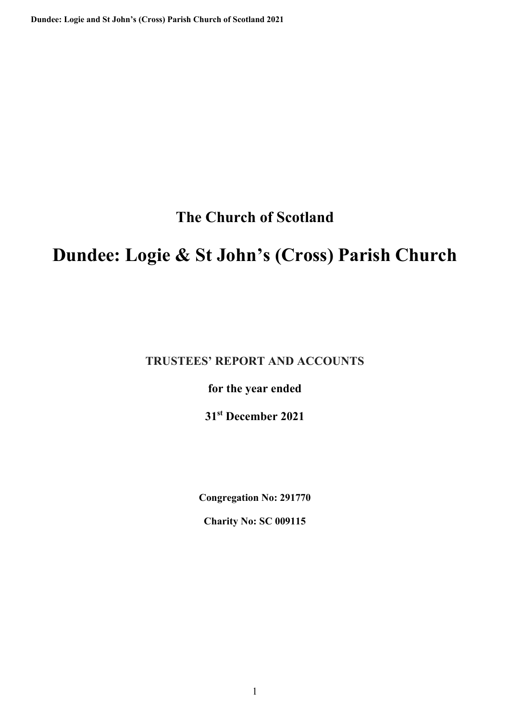**The Church of Scotland** 

# **Dundee: Logie & St John's (Cross) Parish Church**

**TRUSTEES' REPORT AND ACCOUNTS** 

**for the year ended** 

**31st December 2021** 

**Congregation No: 291770** 

**Charity No: SC 009115**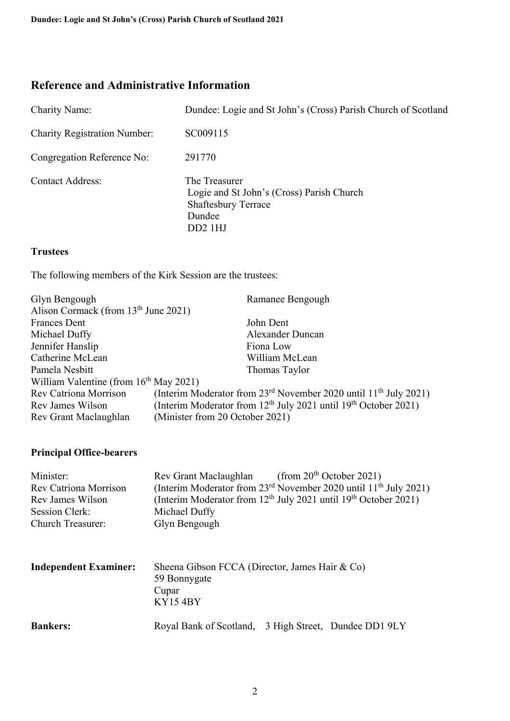# **Reference and Administrative Information**

| <b>Charity Name:</b>                | Dundee: Logie and St John's (Cross) Parish Church of Scotland                                                   |
|-------------------------------------|-----------------------------------------------------------------------------------------------------------------|
| <b>Charity Registration Number:</b> | SC009115                                                                                                        |
| Congregation Reference No:          | 291770                                                                                                          |
| <b>Contact Address:</b>             | The Treasurer<br>Logie and St John's (Cross) Parish Church<br><b>Shaftesbury Terrace</b><br>Dundee<br>$DD2$ 1HJ |

#### **Trustees**

The following members of the Kirk Session are the trustees:

| Glyn Bengough                                    | Ramanee Bengough                                                     |  |  |
|--------------------------------------------------|----------------------------------------------------------------------|--|--|
| Alison Cormack (from 13 <sup>th</sup> June 2021) |                                                                      |  |  |
| <b>Frances Dent</b>                              | John Dent                                                            |  |  |
| Michael Duffy                                    | Alexander Duncan                                                     |  |  |
| Jennifer Hanslip                                 | Fiona Low                                                            |  |  |
| Catherine McLean                                 | William McLean                                                       |  |  |
| Pamela Nesbitt                                   | Thomas Taylor                                                        |  |  |
| William Valentine (from $16th$ May 2021)         |                                                                      |  |  |
| <b>Rev Catriona Morrison</b>                     | (Interim Moderator from $23rd$ November 2020 until $11th$ July 2021) |  |  |
| Rev James Wilson                                 | (Interim Moderator from $12th$ July 2021 until $19th$ October 2021)  |  |  |
| Rev Grant Maclaughlan                            | (Minister from 20 October 2021)                                      |  |  |

## **Principal Office-bearers**

| Minister:<br><b>Rev Catriona Morrison</b><br>Rev James Wilson<br>Session Clerk:<br>Church Treasurer: | (from $20th$ October 2021)<br>Rev Grant Maclaughlan<br>(Interim Moderator from 23 <sup>rd</sup> November 2020 until 11 <sup>th</sup> July 2021)<br>(Interim Moderator from $12th$ July 2021 until $19th$ October 2021)<br>Michael Duffy<br>Glyn Bengough |
|------------------------------------------------------------------------------------------------------|----------------------------------------------------------------------------------------------------------------------------------------------------------------------------------------------------------------------------------------------------------|
| <b>Independent Examiner:</b>                                                                         | Sheena Gibson FCCA (Director, James Hair & Co)<br>59 Bonnygate<br>Cupar<br><b>KY154BY</b>                                                                                                                                                                |
| <b>Bankers:</b>                                                                                      | Royal Bank of Scotland,<br>3 High Street, Dundee DD1 9LY                                                                                                                                                                                                 |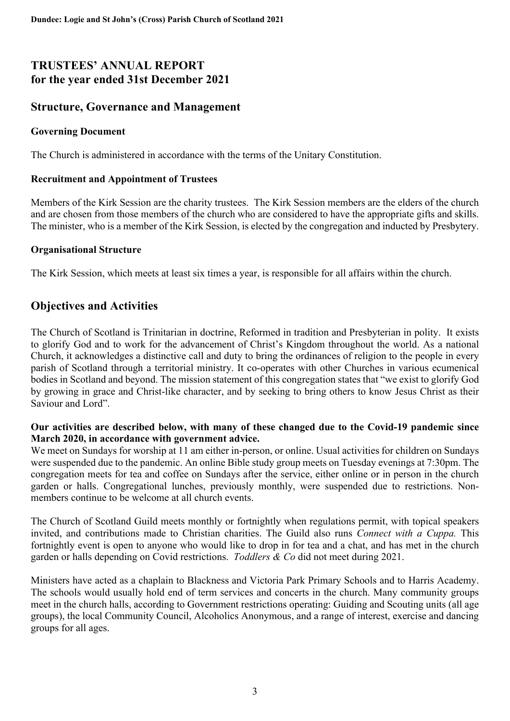# **TRUSTEES' ANNUAL REPORT for the year ended 31st December 2021**

## **Structure, Governance and Management**

#### **Governing Document**

The Church is administered in accordance with the terms of the Unitary Constitution.

#### **Recruitment and Appointment of Trustees**

Members of the Kirk Session are the charity trustees. The Kirk Session members are the elders of the church and are chosen from those members of the church who are considered to have the appropriate gifts and skills. The minister, who is a member of the Kirk Session, is elected by the congregation and inducted by Presbytery.

#### **Organisational Structure**

The Kirk Session, which meets at least six times a year, is responsible for all affairs within the church.

# **Objectives and Activities**

The Church of Scotland is Trinitarian in doctrine, Reformed in tradition and Presbyterian in polity. It exists to glorify God and to work for the advancement of Christ's Kingdom throughout the world. As a national Church, it acknowledges a distinctive call and duty to bring the ordinances of religion to the people in every parish of Scotland through a territorial ministry. It co-operates with other Churches in various ecumenical bodies in Scotland and beyond. The mission statement of this congregation states that "we exist to glorify God by growing in grace and Christ-like character, and by seeking to bring others to know Jesus Christ as their Saviour and Lord".

#### **Our activities are described below, with many of these changed due to the Covid-19 pandemic since March 2020, in accordance with government advice.**

We meet on Sundays for worship at 11 am either in-person, or online. Usual activities for children on Sundays were suspended due to the pandemic. An online Bible study group meets on Tuesday evenings at 7:30pm. The congregation meets for tea and coffee on Sundays after the service, either online or in person in the church garden or halls. Congregational lunches, previously monthly, were suspended due to restrictions. Nonmembers continue to be welcome at all church events.

The Church of Scotland Guild meets monthly or fortnightly when regulations permit, with topical speakers invited, and contributions made to Christian charities. The Guild also runs *Connect with a Cuppa.* This fortnightly event is open to anyone who would like to drop in for tea and a chat, and has met in the church garden or halls depending on Covid restrictions. *Toddlers & Co* did not meet during 2021.

Ministers have acted as a chaplain to Blackness and Victoria Park Primary Schools and to Harris Academy. The schools would usually hold end of term services and concerts in the church. Many community groups meet in the church halls, according to Government restrictions operating: Guiding and Scouting units (all age groups), the local Community Council, Alcoholics Anonymous, and a range of interest, exercise and dancing groups for all ages.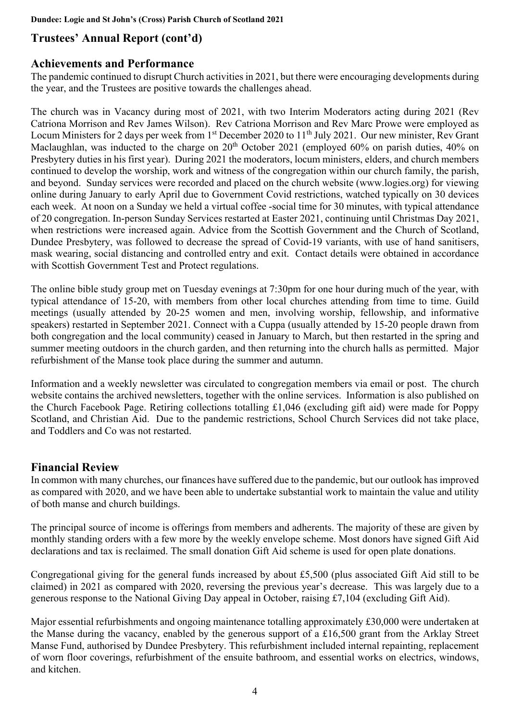# **Trustees' Annual Report (cont'd)**

# **Achievements and Performance**

The pandemic continued to disrupt Church activities in 2021, but there were encouraging developments during the year, and the Trustees are positive towards the challenges ahead.

The church was in Vacancy during most of 2021, with two Interim Moderators acting during 2021 (Rev Catriona Morrison and Rev James Wilson). Rev Catriona Morrison and Rev Marc Prowe were employed as Locum Ministers for 2 days per week from 1<sup>st</sup> December 2020 to 11<sup>th</sup> July 2021. Our new minister, Rev Grant Maclaughlan, was inducted to the charge on 20<sup>th</sup> October 2021 (employed 60% on parish duties, 40% on Presbytery duties in his first year). During 2021 the moderators, locum ministers, elders, and church members continued to develop the worship, work and witness of the congregation within our church family, the parish, and beyond. Sunday services were recorded and placed on the church website (www.logies.org) for viewing online during January to early April due to Government Covid restrictions, watched typically on 30 devices each week. At noon on a Sunday we held a virtual coffee -social time for 30 minutes, with typical attendance of 20 congregation. In-person Sunday Services restarted at Easter 2021, continuing until Christmas Day 2021, when restrictions were increased again. Advice from the Scottish Government and the Church of Scotland, Dundee Presbytery, was followed to decrease the spread of Covid-19 variants, with use of hand sanitisers, mask wearing, social distancing and controlled entry and exit. Contact details were obtained in accordance with Scottish Government Test and Protect regulations.

The online bible study group met on Tuesday evenings at 7:30pm for one hour during much of the year, with typical attendance of 15-20, with members from other local churches attending from time to time. Guild meetings (usually attended by 20-25 women and men, involving worship, fellowship, and informative speakers) restarted in September 2021. Connect with a Cuppa (usually attended by 15-20 people drawn from both congregation and the local community) ceased in January to March, but then restarted in the spring and summer meeting outdoors in the church garden, and then returning into the church halls as permitted. Major refurbishment of the Manse took place during the summer and autumn.

Information and a weekly newsletter was circulated to congregation members via email or post. The church website contains the archived newsletters, together with the online services. Information is also published on the Church Facebook Page. Retiring collections totalling £1,046 (excluding gift aid) were made for Poppy Scotland, and Christian Aid. Due to the pandemic restrictions, School Church Services did not take place, and Toddlers and Co was not restarted.

# **Financial Review**

In common with many churches, our finances have suffered due to the pandemic, but our outlook has improved as compared with 2020, and we have been able to undertake substantial work to maintain the value and utility of both manse and church buildings.

The principal source of income is offerings from members and adherents. The majority of these are given by monthly standing orders with a few more by the weekly envelope scheme. Most donors have signed Gift Aid declarations and tax is reclaimed. The small donation Gift Aid scheme is used for open plate donations.

Congregational giving for the general funds increased by about £5,500 (plus associated Gift Aid still to be claimed) in 2021 as compared with 2020, reversing the previous year's decrease. This was largely due to a generous response to the National Giving Day appeal in October, raising £7,104 (excluding Gift Aid).

Major essential refurbishments and ongoing maintenance totalling approximately £30,000 were undertaken at the Manse during the vacancy, enabled by the generous support of a £16,500 grant from the Arklay Street Manse Fund, authorised by Dundee Presbytery. This refurbishment included internal repainting, replacement of worn floor coverings, refurbishment of the ensuite bathroom, and essential works on electrics, windows, and kitchen.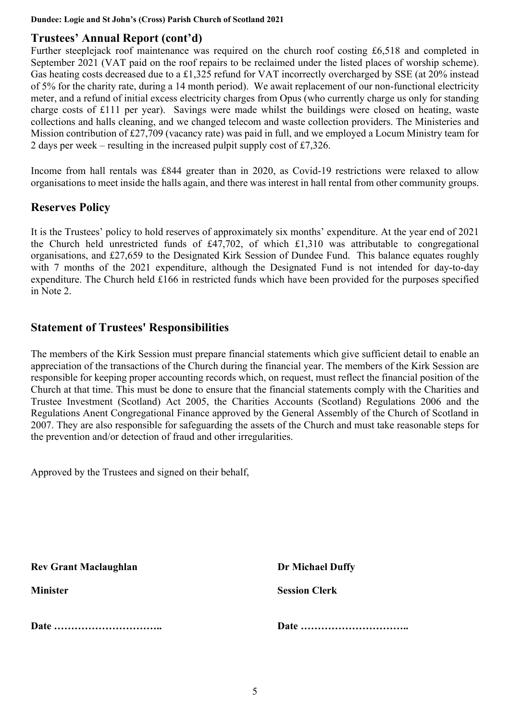**Dundee: Logie and St John's (Cross) Parish Church of Scotland 2021**

# **Trustees' Annual Report (cont'd)**

Further steeplejack roof maintenance was required on the church roof costing £6,518 and completed in September 2021 (VAT paid on the roof repairs to be reclaimed under the listed places of worship scheme). Gas heating costs decreased due to a £1,325 refund for VAT incorrectly overcharged by SSE (at 20% instead of 5% for the charity rate, during a 14 month period). We await replacement of our non-functional electricity meter, and a refund of initial excess electricity charges from Opus (who currently charge us only for standing charge costs of £111 per year). Savings were made whilst the buildings were closed on heating, waste collections and halls cleaning, and we changed telecom and waste collection providers. The Ministeries and Mission contribution of £27,709 (vacancy rate) was paid in full, and we employed a Locum Ministry team for 2 days per week – resulting in the increased pulpit supply cost of £7,326.

Income from hall rentals was £844 greater than in 2020, as Covid-19 restrictions were relaxed to allow organisations to meet inside the halls again, and there was interest in hall rental from other community groups.

## **Reserves Policy**

It is the Trustees' policy to hold reserves of approximately six months' expenditure. At the year end of 2021 the Church held unrestricted funds of £47,702, of which £1,310 was attributable to congregational organisations, and £27,659 to the Designated Kirk Session of Dundee Fund. This balance equates roughly with 7 months of the 2021 expenditure, although the Designated Fund is not intended for day-to-day expenditure. The Church held £166 in restricted funds which have been provided for the purposes specified in Note 2.

## **Statement of Trustees' Responsibilities**

The members of the Kirk Session must prepare financial statements which give sufficient detail to enable an appreciation of the transactions of the Church during the financial year. The members of the Kirk Session are responsible for keeping proper accounting records which, on request, must reflect the financial position of the Church at that time. This must be done to ensure that the financial statements comply with the Charities and Trustee Investment (Scotland) Act 2005, the Charities Accounts (Scotland) Regulations 2006 and the Regulations Anent Congregational Finance approved by the General Assembly of the Church of Scotland in 2007. They are also responsible for safeguarding the assets of the Church and must take reasonable steps for the prevention and/or detection of fraud and other irregularities.

Approved by the Trustees and signed on their behalf,

**Rev Grant Maclaughlan Dr Michael Duffy** 

**Date ………………………….. Date …………………………..** 

**Minister Session Clerk**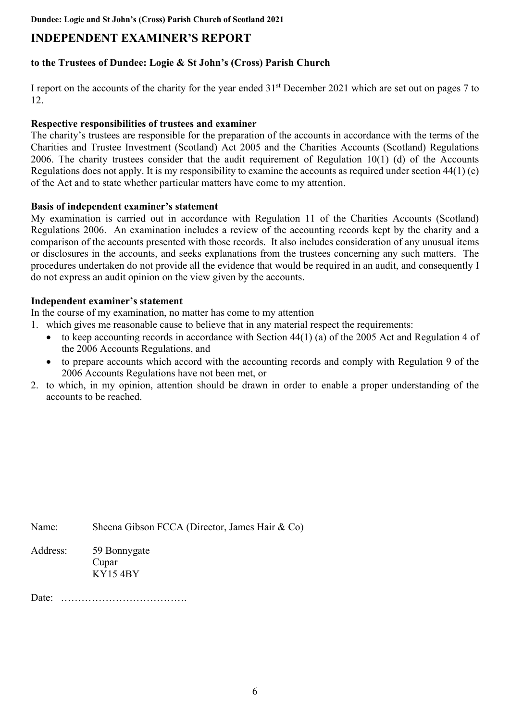**Dundee: Logie and St John's (Cross) Parish Church of Scotland 2021**

# **INDEPENDENT EXAMINER'S REPORT**

### **to the Trustees of Dundee: Logie & St John's (Cross) Parish Church**

I report on the accounts of the charity for the year ended 31st December 2021 which are set out on pages 7 to 12.

#### **Respective responsibilities of trustees and examiner**

The charity's trustees are responsible for the preparation of the accounts in accordance with the terms of the Charities and Trustee Investment (Scotland) Act 2005 and the Charities Accounts (Scotland) Regulations 2006. The charity trustees consider that the audit requirement of Regulation 10(1) (d) of the Accounts Regulations does not apply. It is my responsibility to examine the accounts as required under section 44(1) (c) of the Act and to state whether particular matters have come to my attention.

#### **Basis of independent examiner's statement**

My examination is carried out in accordance with Regulation 11 of the Charities Accounts (Scotland) Regulations 2006. An examination includes a review of the accounting records kept by the charity and a comparison of the accounts presented with those records. It also includes consideration of any unusual items or disclosures in the accounts, and seeks explanations from the trustees concerning any such matters. The procedures undertaken do not provide all the evidence that would be required in an audit, and consequently I do not express an audit opinion on the view given by the accounts.

#### **Independent examiner's statement**

In the course of my examination, no matter has come to my attention

- 1. which gives me reasonable cause to believe that in any material respect the requirements:
	- to keep accounting records in accordance with Section 44(1) (a) of the 2005 Act and Regulation 4 of the 2006 Accounts Regulations, and
	- to prepare accounts which accord with the accounting records and comply with Regulation 9 of the 2006 Accounts Regulations have not been met, or
- 2. to which, in my opinion, attention should be drawn in order to enable a proper understanding of the accounts to be reached.

Name: Sheena Gibson FCCA (Director, James Hair & Co)

Address: 59 Bonnygate Cupar KY15 4BY

Date: ……………………………….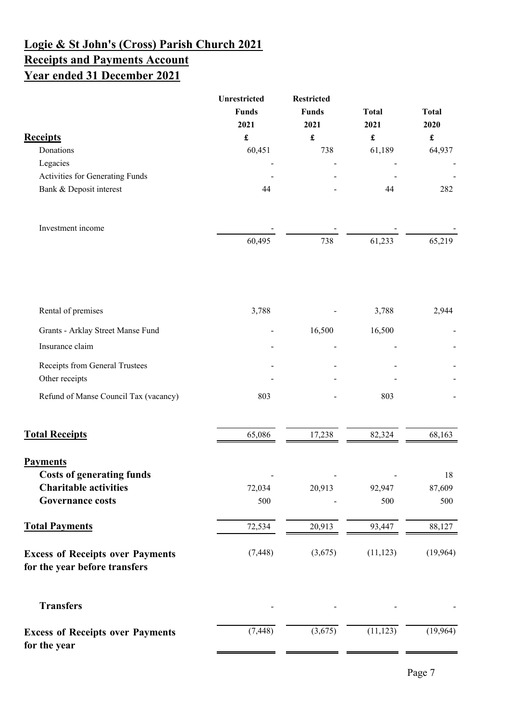# **Logie & St John's (Cross) Parish Church 2021 Receipts and Payments Account Year ended 31 December 2021**

|                                                                          | Unrestricted<br><b>Funds</b><br>2021 | <b>Restricted</b><br><b>Funds</b><br>2021 | <b>Total</b><br>2021  | <b>Total</b><br>2020 |
|--------------------------------------------------------------------------|--------------------------------------|-------------------------------------------|-----------------------|----------------------|
| <b>Receipts</b>                                                          | $\pmb{\mathfrak{L}}$                 | $\pmb{\mathfrak{L}}$                      | $\pmb{\mathfrak{L}}$  | $\pmb{\mathfrak{L}}$ |
| Donations                                                                | 60,451                               | 738                                       | 61,189                | 64,937               |
| Legacies                                                                 |                                      |                                           |                       |                      |
| Activities for Generating Funds                                          |                                      |                                           |                       |                      |
| Bank & Deposit interest                                                  | 44                                   |                                           | 44                    | 282                  |
| Investment income                                                        |                                      |                                           |                       |                      |
|                                                                          | 60,495                               | 738                                       | 61,233                | 65,219               |
| Rental of premises                                                       | 3,788                                |                                           | 3,788                 | 2,944                |
| Grants - Arklay Street Manse Fund                                        |                                      | 16,500                                    | 16,500                |                      |
| Insurance claim                                                          |                                      |                                           |                       |                      |
| Receipts from General Trustees<br>Other receipts                         |                                      |                                           |                       |                      |
| Refund of Manse Council Tax (vacancy)                                    | 803                                  |                                           | 803                   |                      |
| <b>Total Receipts</b>                                                    | 65,086                               | 17,238                                    | 82,324                | 68,163               |
| <b>Payments</b>                                                          |                                      |                                           |                       |                      |
| <b>Costs of generating funds</b>                                         |                                      |                                           |                       | 18                   |
| <b>Charitable activities</b>                                             | 72,034                               | 20,913                                    | 92,947                | 87,609               |
| <b>Governance costs</b>                                                  | 500                                  |                                           | 500                   | 500                  |
| <b>Total Payments</b>                                                    | 72,534                               | 20,913                                    | 93,447                | 88,127               |
| <b>Excess of Receipts over Payments</b><br>for the year before transfers | (7, 448)                             | (3,675)                                   | (11, 123)             | (19, 964)            |
| <b>Transfers</b>                                                         |                                      |                                           |                       |                      |
| <b>Excess of Receipts over Payments</b><br>for the year                  | (7, 448)                             | (3,675)                                   | $(1\overline{1,123})$ | (19,964)             |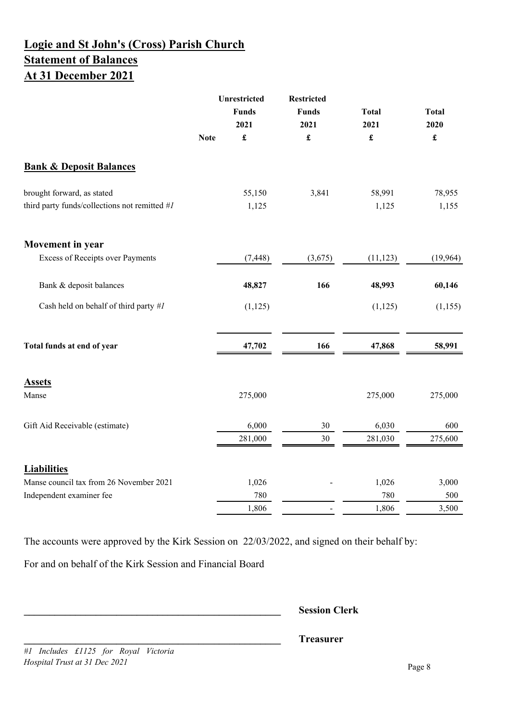# **Logie and St John's (Cross) Parish Church Statement of Balances At 31 December 2021**

|                                               |             | Unrestricted<br><b>Funds</b><br>2021 | <b>Restricted</b><br><b>Funds</b><br>2021 | <b>Total</b><br>2021 | <b>Total</b><br>2020 |
|-----------------------------------------------|-------------|--------------------------------------|-------------------------------------------|----------------------|----------------------|
|                                               | <b>Note</b> | $\pmb{\mathfrak{L}}$                 | $\pmb{\mathfrak{L}}$                      | $\pmb{\mathfrak{L}}$ | $\pmb{\mathfrak{L}}$ |
| <b>Bank &amp; Deposit Balances</b>            |             |                                      |                                           |                      |                      |
| brought forward, as stated                    |             | 55,150                               | 3,841                                     | 58,991               | 78,955               |
| third party funds/collections not remitted #1 |             | 1,125                                |                                           | 1,125                | 1,155                |
| <b>Movement</b> in year                       |             |                                      |                                           |                      |                      |
| <b>Excess of Receipts over Payments</b>       |             | (7, 448)                             | (3,675)                                   | (11, 123)            | (19,964)             |
| Bank & deposit balances                       |             | 48,827                               | 166                                       | 48,993               | 60,146               |
| Cash held on behalf of third party #1         |             | (1, 125)                             |                                           | (1, 125)             | (1,155)              |
| Total funds at end of year                    |             | 47,702                               | 166                                       | 47,868               | 58,991               |
| <b>Assets</b>                                 |             |                                      |                                           |                      |                      |
| Manse                                         |             | 275,000                              |                                           | 275,000              | 275,000              |
| Gift Aid Receivable (estimate)                |             | 6,000                                | 30                                        | 6,030                | 600                  |
|                                               |             | 281,000                              | 30                                        | 281,030              | 275,600              |
| <b>Liabilities</b>                            |             |                                      |                                           |                      |                      |
| Manse council tax from 26 November 2021       |             | 1,026                                |                                           | 1,026                | 3,000                |
| Independent examiner fee                      |             | 780                                  |                                           | 780                  | 500                  |
|                                               |             | 1,806                                |                                           | 1,806                | 3,500                |

The accounts were approved by the Kirk Session on 22/03/2022, and signed on their behalf by:

For and on behalf of the Kirk Session and Financial Board

**\_\_\_\_\_\_\_\_\_\_\_\_\_\_\_\_\_\_\_\_\_\_\_\_\_\_\_\_\_\_\_\_\_\_\_\_\_\_\_\_\_\_\_\_\_\_\_\_\_\_ Session Clerk**

**\_\_\_\_\_\_\_\_\_\_\_\_\_\_\_\_\_\_\_\_\_\_\_\_\_\_\_\_\_\_\_\_\_\_\_\_\_\_\_\_\_\_\_\_\_\_\_\_\_\_ Treasurer**

*#1 Includes £1125 for Royal Victoria Hospital Trust at 31 Dec 2021*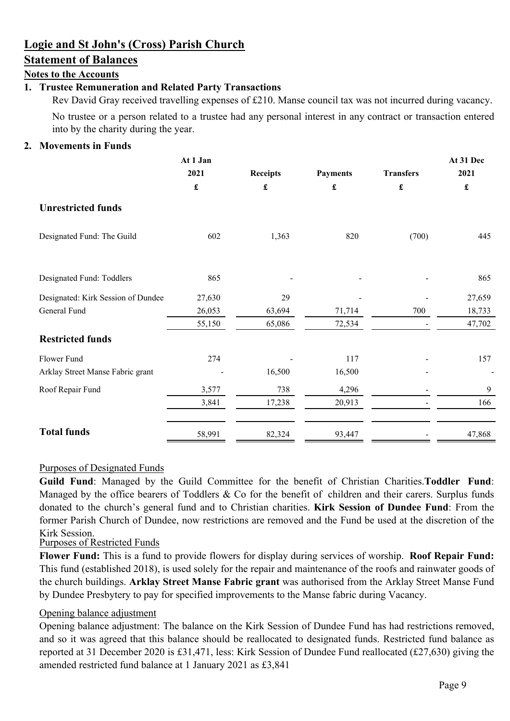# **Logie and St John's (Cross) Parish Church**

# **Statement of Balances**

## **Notes to the Accounts**

## **1. Trustee Remuneration and Related Party Transactions**

Rev David Gray received travelling expenses of £210. Manse council tax was not incurred during vacancy. No trustee or a person related to a trustee had any personal interest in any contract or transaction entered into by the charity during the year.

#### **2. Movements in Funds**

|                                    | At 1 Jan             |                      |                 |                      | At 31 Dec            |
|------------------------------------|----------------------|----------------------|-----------------|----------------------|----------------------|
|                                    | 2021                 | <b>Receipts</b>      | <b>Payments</b> | <b>Transfers</b>     | 2021                 |
|                                    | $\pmb{\mathfrak{L}}$ | $\pmb{\mathfrak{L}}$ | £               | $\pmb{\mathfrak{L}}$ | $\pmb{\mathfrak{L}}$ |
| <b>Unrestricted funds</b>          |                      |                      |                 |                      |                      |
| Designated Fund: The Guild         | 602                  | 1,363                | 820             | (700)                | 445                  |
| Designated Fund: Toddlers          | 865                  |                      |                 |                      | 865                  |
| Designated: Kirk Session of Dundee | 27,630               | 29                   |                 |                      | 27,659               |
| General Fund                       | 26,053               | 63,694               | 71,714          | 700                  | 18,733               |
|                                    | 55,150               | 65,086               | 72,534          |                      | 47,702               |
| <b>Restricted funds</b>            |                      |                      |                 |                      |                      |
| Flower Fund                        | 274                  |                      | 117             |                      | 157                  |
| Arklay Street Manse Fabric grant   |                      | 16,500               | 16,500          |                      |                      |
| Roof Repair Fund                   | 3,577                | 738                  | 4,296           |                      | 9                    |
|                                    | 3,841                | 17,238               | 20,913          |                      | 166                  |
| <b>Total funds</b>                 | 58,991               | 82,324               | 93,447          |                      | 47,868               |

### Purposes of Designated Funds

**Guild Fund**: Managed by the Guild Committee for the benefit of Christian Charities.**Toddler Fund**: Managed by the office bearers of Toddlers & Co for the benefit of children and their carers. Surplus funds donated to the church's general fund and to Christian charities. **Kirk Session of Dundee Fund**: From the former Parish Church of Dundee, now restrictions are removed and the Fund be used at the discretion of the Kirk Session.

#### Purposes of Restricted Funds

**Flower Fund:** This is a fund to provide flowers for display during services of worship. **Roof Repair Fund:** This fund (established 2018), is used solely for the repair and maintenance of the roofs and rainwater goods of the church buildings. **Arklay Street Manse Fabric grant** was authorised from the Arklay Street Manse Fund by Dundee Presbytery to pay for specified improvements to the Manse fabric during Vacancy.

#### Opening balance adjustment

Opening balance adjustment: The balance on the Kirk Session of Dundee Fund has had restrictions removed, and so it was agreed that this balance should be reallocated to designated funds. Restricted fund balance as reported at 31 December 2020 is £31,471, less: Kirk Session of Dundee Fund reallocated (£27,630) giving the amended restricted fund balance at 1 January 2021 as £3,841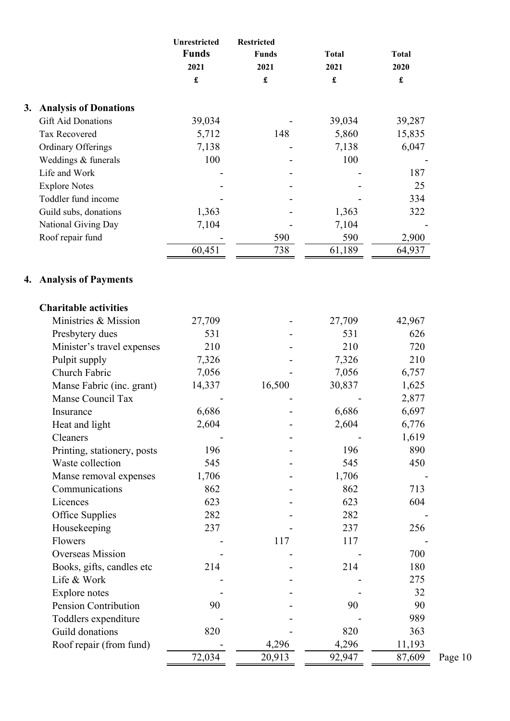| <b>Funds</b><br><b>Funds</b><br><b>Total</b><br>2021<br>2021<br>2021<br>$\pmb{\mathfrak{L}}$<br>$\pmb{\mathfrak{L}}$<br>£<br>3.<br><b>Analysis of Donations</b><br><b>Gift Aid Donations</b><br>39,034<br>39,034<br><b>Tax Recovered</b><br>5,712<br>148<br>5,860<br><b>Ordinary Offerings</b><br>7,138<br>7,138 | <b>Total</b><br>2020<br>$\pmb{\mathfrak{L}}$<br>39,287<br>15,835<br>6,047<br>187<br>25<br>334<br>322 |
|------------------------------------------------------------------------------------------------------------------------------------------------------------------------------------------------------------------------------------------------------------------------------------------------------------------|------------------------------------------------------------------------------------------------------|
|                                                                                                                                                                                                                                                                                                                  |                                                                                                      |
|                                                                                                                                                                                                                                                                                                                  |                                                                                                      |
|                                                                                                                                                                                                                                                                                                                  |                                                                                                      |
|                                                                                                                                                                                                                                                                                                                  |                                                                                                      |
|                                                                                                                                                                                                                                                                                                                  |                                                                                                      |
|                                                                                                                                                                                                                                                                                                                  |                                                                                                      |
|                                                                                                                                                                                                                                                                                                                  |                                                                                                      |
|                                                                                                                                                                                                                                                                                                                  |                                                                                                      |
| 100<br>100<br>Weddings & funerals                                                                                                                                                                                                                                                                                |                                                                                                      |
| Life and Work                                                                                                                                                                                                                                                                                                    |                                                                                                      |
| <b>Explore Notes</b>                                                                                                                                                                                                                                                                                             |                                                                                                      |
| Toddler fund income                                                                                                                                                                                                                                                                                              |                                                                                                      |
| Guild subs, donations<br>1,363<br>1,363                                                                                                                                                                                                                                                                          |                                                                                                      |
| 7,104<br>National Giving Day<br>7,104                                                                                                                                                                                                                                                                            |                                                                                                      |
| 590<br>Roof repair fund<br>590                                                                                                                                                                                                                                                                                   | 2,900                                                                                                |
| 60,451<br>738<br>61,189                                                                                                                                                                                                                                                                                          | 64,937                                                                                               |
| 4. Analysis of Payments                                                                                                                                                                                                                                                                                          |                                                                                                      |
| <b>Charitable activities</b>                                                                                                                                                                                                                                                                                     |                                                                                                      |
| Ministries & Mission                                                                                                                                                                                                                                                                                             |                                                                                                      |
| 27,709<br>27,709                                                                                                                                                                                                                                                                                                 | 42,967                                                                                               |
| 531<br>531<br>Presbytery dues                                                                                                                                                                                                                                                                                    | 626                                                                                                  |
| 210<br>210<br>Minister's travel expenses                                                                                                                                                                                                                                                                         | 720                                                                                                  |
| Pulpit supply<br>7,326<br>7,326                                                                                                                                                                                                                                                                                  | 210                                                                                                  |
| Church Fabric<br>7,056<br>7,056                                                                                                                                                                                                                                                                                  | 6,757                                                                                                |
| Manse Fabric (inc. grant)<br>16,500<br>30,837<br>14,337                                                                                                                                                                                                                                                          | 1,625                                                                                                |
| Manse Council Tax                                                                                                                                                                                                                                                                                                | 2,877                                                                                                |
| 6,686<br>6,686<br>Insurance                                                                                                                                                                                                                                                                                      | 6,697                                                                                                |
| 2,604<br>Heat and light<br>2,604                                                                                                                                                                                                                                                                                 | 6,776                                                                                                |
| Cleaners                                                                                                                                                                                                                                                                                                         | 1,619                                                                                                |
| 196<br>196<br>Printing, stationery, posts                                                                                                                                                                                                                                                                        | 890                                                                                                  |
| 545<br>545<br>Waste collection                                                                                                                                                                                                                                                                                   | 450                                                                                                  |
| Manse removal expenses<br>1,706<br>1,706                                                                                                                                                                                                                                                                         |                                                                                                      |
| 862<br>862<br>Communications                                                                                                                                                                                                                                                                                     | 713                                                                                                  |
| 623<br>623<br>Licences                                                                                                                                                                                                                                                                                           | 604                                                                                                  |
| Office Supplies<br>282<br>282                                                                                                                                                                                                                                                                                    |                                                                                                      |
| 237<br>237<br>Housekeeping                                                                                                                                                                                                                                                                                       | 256                                                                                                  |
| 117<br>Flowers<br>117                                                                                                                                                                                                                                                                                            |                                                                                                      |
| Overseas Mission                                                                                                                                                                                                                                                                                                 | 700                                                                                                  |
| 214<br>Books, gifts, candles etc<br>214                                                                                                                                                                                                                                                                          | 180                                                                                                  |
| Life & Work                                                                                                                                                                                                                                                                                                      | 275                                                                                                  |
| Explore notes                                                                                                                                                                                                                                                                                                    | 32                                                                                                   |
| Pension Contribution<br>90<br>90                                                                                                                                                                                                                                                                                 | 90                                                                                                   |
| Toddlers expenditure                                                                                                                                                                                                                                                                                             | 989                                                                                                  |
| Guild donations<br>820<br>820                                                                                                                                                                                                                                                                                    | 363                                                                                                  |
| 4,296<br>Roof repair (from fund)<br>4,296                                                                                                                                                                                                                                                                        | 11,193                                                                                               |
| 72,034<br>20,913<br>92,947                                                                                                                                                                                                                                                                                       | 87,609                                                                                               |

Page 10